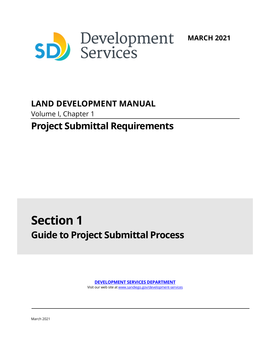

# **LAND DEVELOPMENT MANUAL**

Volume I, Chapter 1

# **Project Submittal Requirements**

# **Section 1 Guide to Project Submittal Process**

**[DEVELOPMENT SERVICES DEPARTMENT](http://www.sandiego.gov/development-services/)** Visit our web site a[t www.sandiego.gov/development-services](http://www.sandiego.gov/development-services)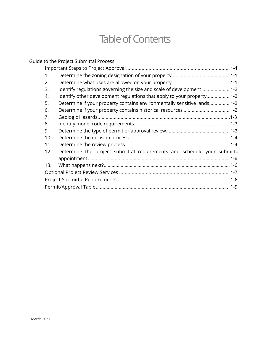# Table of Contents

|  |     | Guide to the Project Submittal Process                                   |  |  |  |  |  |
|--|-----|--------------------------------------------------------------------------|--|--|--|--|--|
|  |     |                                                                          |  |  |  |  |  |
|  | 1.  |                                                                          |  |  |  |  |  |
|  | 2.  |                                                                          |  |  |  |  |  |
|  | 3.  | Identify regulations governing the size and scale of development  1-2    |  |  |  |  |  |
|  | 4.  | Identify other development regulations that apply to your property 1-2   |  |  |  |  |  |
|  | 5.  | Determine if your property contains environmentally sensitive lands 1-2  |  |  |  |  |  |
|  | 6.  | Determine if your property contains historical resources  1-2            |  |  |  |  |  |
|  | 7.  |                                                                          |  |  |  |  |  |
|  | 8.  |                                                                          |  |  |  |  |  |
|  | 9.  |                                                                          |  |  |  |  |  |
|  | 10. |                                                                          |  |  |  |  |  |
|  | 11. |                                                                          |  |  |  |  |  |
|  | 12. | Determine the project submittal requirements and schedule your submittal |  |  |  |  |  |
|  |     |                                                                          |  |  |  |  |  |
|  | 13. |                                                                          |  |  |  |  |  |
|  |     |                                                                          |  |  |  |  |  |
|  |     |                                                                          |  |  |  |  |  |
|  |     |                                                                          |  |  |  |  |  |
|  |     |                                                                          |  |  |  |  |  |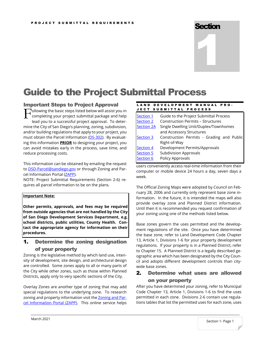# **Section**



# <span id="page-2-0"></span>Guide to the Project Submittal Process

## <span id="page-2-1"></span>Important Steps to Project Approval

ollowing the basic steps listed below will assist you in completing your project submittal package and help lead you to a successful project approval. To determine the City of San Diego's planning, zoning, subdivision, and/or building regulations that apply to your project, you must obtain the Parcel Information [\(DS-302\)](http://www.sandiego.gov/development-services/pdf/industry/forms/ds302.pdf). By evaluating this information **PRIOR** to designing your project, you can avoid mistakes early in the process, save time, and reduce processing costs. F

This information can be obtained by emailing the request to **DSD-Parcel@sandiego.gov** or through Zoning and Parcel Information Portal [\(ZAPP\)](https://www.arcgis.com/apps/webappviewer/index.html?id=3057676023954a828ad92ef22b5ff349).

NOTE: Project Submittal Requirements (Section 2-6) requires all parcel information to be on the plans.

#### **Important Note:**

**Other permits, approvals, and fees may be required from outside agencies that are not handled by the City of San Diego Development Services Department, e.g. school districts, public utilities, County Health. Contact the appropriate agency for information on their procedures.**

# <span id="page-2-2"></span>1. Determine the zoning designation of your property

Zoning is the legislative method by which land use, intensity of development, site design, and architectural design are controlled. Some zones apply to all or many parts of the City while other zones, such as those within Planned Districts, apply only to very specific sections of the City.

Overlay Zones are another type of zoning that may add special regulations to the underlying zone. To research zoning and property information visit th[e Zoning and Par](https://www.arcgis.com/apps/webappviewer/index.html?id=3057676023954a828ad92ef22b5ff349)[cel Information Portal \(ZAPP\).](https://www.arcgis.com/apps/webappviewer/index.html?id=3057676023954a828ad92ef22b5ff349) This online service helps

#### LAND DEVELOPMENT MANUAL PRO-JECT SUBMITTAL PROCESS

| Section 1         | Guide to the Project Submittal Process    |  |  |  |  |  |
|-------------------|-------------------------------------------|--|--|--|--|--|
| <b>Section 2</b>  | <b>Construction Permits - Structures</b>  |  |  |  |  |  |
| <b>Section 2A</b> | Single Dwelling Unit/Duplex/Townhomes     |  |  |  |  |  |
|                   | and Accessory Structures                  |  |  |  |  |  |
| <b>Section 3</b>  | Construction Permits - Grading and Public |  |  |  |  |  |
|                   | Right-of-Way                              |  |  |  |  |  |
| Section 4         | Development Permits/Approvals             |  |  |  |  |  |
| Section 5         | <b>Subdivision Approvals</b>              |  |  |  |  |  |
| Section 6         | Policy Approvals                          |  |  |  |  |  |

users conveniently access real-time information from their computer or mobile device 24 hours a day, seven days a week.

The Official Zoning Maps were adopted by Council on February 28, 2006 and currently only represent base zone information. In the future, it is intended the maps will also provide overlay zone and Planned District information. Until then it is recommended you request confirmation of your zoning using one of the methods listed below.

Base zones govern the uses permitted and the development regulations of the site. Once you have determined the base zone, refer to Land Development Code Chapter 13, Article 1, Divisions 1-6 for your property development regulations. If your property is in a Planned District, refer to Chapter 15. A Planned District is a legally described geographic area which has been designated by the City Council and adopts different development controls than citywide base zones.

# <span id="page-2-3"></span>2. Determine what uses are allowed on your property

After you have determined your zoning, refer to Municipal Code Chapter 13, Article 1, Divisions 1-6 to find the uses permitted in each zone. Divisions 2-6 contain use regulations tables that list the permitted uses for each zone, uses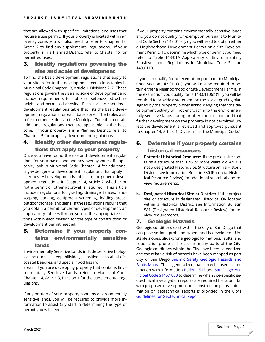that are allowed with specified limitations, and uses that require a use permit. If your property is located within an overlay zone, you will also need to refer to Chapter 13, Article 2 to find any supplemental regulations. If your property is in a Planned District, refer to Chapter 15 for permitted uses.

# <span id="page-3-0"></span>3. Identify regulations governing the size and scale of development

To find the basic development regulations that apply to your site, refer to the development regulations tables in Municipal Code Chapter 13, Article 1, Divisions 2-6. These regulations govern the size and scale of development and include requirements for lot size, setbacks, structure height, and permitted density. Each division contains a development regulations table that lists the basic development regulations for each base zone. The tables also refer to other sections in the Municipal Code that contain additional regulations that are applicable in the base zone. If your property is in a Planned District, refer to Chapter 15 for property development regulations.

# <span id="page-3-1"></span>4. Identify other development regulations that apply to your property

Once you have found the use and development regulations for your base zone and any overlay zones, if applicable, look in Municipal Code Chapter 14 for additional city-wide, general development regulations that apply in all zones. All development is subject to the general development regulations in Chapter 14, Article 2, whether or not a permit or other approval is required. This article includes regulations for grading, drainage, fences, landscaping, parking, equipment screening, loading areas, outdoor storage, and signs. If the regulations require that you obtain a permit for certain types of development, an applicability table will refer you to the appropriate sections within each division for the type of construction or development permit needed.

# <span id="page-3-2"></span>5. Determine if your property contains environmentally sensitive lands

Environmentally Sensitive Lands include sensitive biological resources, steep hillsides, sensitive coastal bluffs, coastal beaches, and special flood hazard

areas. If you are developing property that contains Environmentally Sensitive Lands, refer to Municipal Code Chapter 14, Article 3, Division 1 for the supplemental regulations.

If any portion of your property contains environmentally sensitive lands, you will be required to provide more information to assist City staff in determining the type of permit you will need.

If your property contains environmentally sensitive lands and you do not qualify for exemption pursuant to Municipal Code Section 143.0110(c), you will need to obtain either a Neighborhood Development Permit or a Site Development Permit. To determine which type of permit you need refer to Table 143-01A Applicability of Environmentally Sensitive Lands Regulations in Municipal Code Section 143.0110.

If you can qualify for an exemption pursuant to Municipal Code Section 143.0110(c), you will not be required to obtain either a Neighborhood or Site Development Permit. If the exemption you qualify for is 143.0110(c) (1), you will be required to provide a statement on the site or grading plan signed by the property owner acknowledging that "the development activity will not encroach into the environmentally sensitive lands during or after construction and that further development on the property is not permitted unless the development is reviewed and approved pursuant to Chapter 14, Article 1, Division 1 of the Municipal Code."

# <span id="page-3-3"></span>6. Determine if your property contains historical resources

- **a. Potential Historical Resource:** If the project site contains a structure that is 45 or more years old AND is not a designated Historic Site, Structure or in a Historic District, see Information Bulletin 580 (Potential Historical Resource Review) for additional submittal and review requirements.
- **b. Designated Historical Site or District:** If the project site or structure is designated Historical OR located within a Historical District, see Information Bulletin 581 (Designated Historical Resource Review) for review requirements.

# 7. Geologic Hazards

Geologic conditions exist within the City of San Diego that can pose serious problems when land is developed. Unstable slopes, slide-prone geologic formations, faults, and liquefaction-prone soils occur in many parts of the City. Geologic conditions within the City have been categorized and the relative risk of hazards have been mapped as part City of San Diego [Seismic Safety Geologic Hazards and](https://www.sandiego.gov/development-services/zoning-maps/seismic-safety-study)  [Faults Maps.](https://www.sandiego.gov/development-services/zoning-maps/seismic-safety-study) These generalized maps may be used in conjunction with Information [Bulletin 515](https://www.sandiego.gov/sites/default/files/dsdib515.pdf) and San [Diego Mu](http://docs.sandiego.gov/municode/MuniCodeChapter14/Ch14Art05Division18.pdf)[nicipal Code §145.1803](http://docs.sandiego.gov/municode/MuniCodeChapter14/Ch14Art05Division18.pdf) to determine when site-specific geotechnical investigation reports are required for submittal with proposed development and construction plans. Information on geotechnical reports is provided in the City's [Guidelines for Geotechnical Report.](https://www.sandiego.gov/sites/default/files/legacy/development-services/pdf/industry/geoguidelines.pdf)

Section 1- Page 2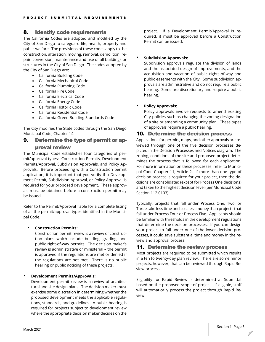# <span id="page-4-0"></span>8. Identify code requirements

The California Codes are adopted and modified by the City of San Diego to safeguard life, health, property and public welfare. The provisions of these codes apply to the construction, alteration, moving, removal, demolition, repair, conversion, maintenance and use of all buildings or structures in the City of San Diego. The codes adopted by the City of San Diego are:

- California Building Code
- California Mechanical Code
- California Plumbing Code
- California Fire Code
- California Electrical Code
- California Energy Code
- California Historic Code
- California Residential Code
- California Green Building Standards Code

The City modifies the State codes through the San Diego Municipal Code, Chapter 14.

# <span id="page-4-1"></span>9. Determine the type of permit or ap-

# proval review

The Municipal Code establishes four categories of permit/approval types: Construction Permits, Development Permits/Approval, Subdivision Approvals, and Policy Approvals. Before proceeding with a Construction permit application, it is important that you verify if a Development Permit, Subdivision Approval, or Policy Approval is required for your proposed development. These approvals must be obtained before a construction permit may be issued.

Refer to the Permit/Approval Table for a complete listing of all the permit/approval types identified in the Municipal Code.

### **Construction Permits:**

Construction permit review is a review of construction plans which include building, grading, and public right-of-way permits. The decision maker's review is administrative or ministerial – the permit is approved if the regulations are met or denied if the regulations are not met. There is no public hearing or public noticing of these projects.

#### **Development Permits/Approvals:**

Development permit review is a review of architectural and site design plans. The decision maker must exercise some discretion in determining whether the proposed development meets the applicable regulations, standards, and guidelines. A public hearing is required for projects subject to development review where the appropriate decision maker decides on the

project. If a Development Permit/Approval is required, it must be approved before a Construction Permit can be issued.

### **•** Subdivision Approvals:

Subdivision approvals regulate the division of lands and the associated design of improvements, and the acquisition and vacation of public rights-of-way and public easements with the City. Some subdivision approvals are administrative and do not require a public hearing. Some are discretionary and require a public hearing.

### **Policy Approvals:**

Policy approvals involve requests to amend existing City policies such as changing the zoning designation of a site or amending a community plan. These types of approvals require a public hearing.

### <span id="page-4-2"></span>10. Determine the decision process

Applications for permits, maps, and other approvals are reviewed through one of the five decision processes depicted in the Decision Processes and Notices diagram. The zoning, conditions of the site and proposed project determines the process that is followed for each application. For more information on these processes, refer to Municipal Code Chapter 11, Article 2. If more than one type of decision process is required for your project, then the decisions are consolidated (except for Process One decisions) and taken to the highest decision level (per Municipal Code Section 112.0103).

Typically, projects that fall under Process One, Two, or Three take less time and cost less money than projects that fall under Process Four or Process Five. Applicants should be familiar with thresholds in the development regulations that determine the decision processes. If you can design your project to fall under one of the lower decision processes, it could save substantial time and money in the review and approval process.

# <span id="page-4-3"></span>11. Determine the review process

Most projects are required to be submitted which results in a ten to twenty-day plan review. There are some minor projects, however, that can be reviewed through Rapid Review process.

Eligibility for Rapid Review is determined at Submittal based on the proposed scope of project. If eligible, staff will automatically process the project through Rapid Review.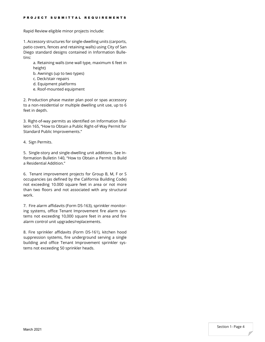Rapid Review eligible minor projects include:

1. Accessory structures for single-dwelling units (carports, patio covers, fences and retaining walls) using City of San Diego standard designs contained in Information Bulletins:

a. Retaining walls (one wall type, maximum 6 feet in height)

- b. Awnings (up to two types)
- c. Deck/stair repairs
- d. Equipment platforms
- e. Roof-mounted equipment

2. Production phase master plan pool or spas accessory to a non-residential or multiple dwelling unit use, up to 6 feet in depth.

3. Right-of-way permits as identified on Information Bulletin 165, "How to Obtain a Public Right-of-Way Permit for Standard Public Improvements."

4. Sign Permits.

5. Single-story and single-dwelling unit additions. See Information Bulletin 140, "How to Obtain a Permit to Build a Residential Addition."

6. Tenant improvement projects for Group B, M, F or S occupancies (as defined by the California Building Code) not exceeding 10.000 square feet in area or not more than two floors and not associated with any structural work.

7. Fire alarm affidavits (Form DS-163), sprinkler monitoring systems, office Tenant Improvement fire alarm systems not exceeding 10,000 square feet in area and fire alarm control unit upgrades/replacements.

8. Fire sprinkler affidavits (Form DS-161), kitchen hood suppression systems, fire underground serving a single building and office Tenant Improvement sprinkler systems not exceeding 50 sprinkler heads.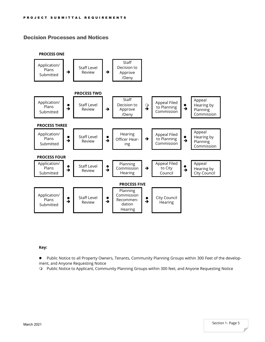# Decision Processes and Notices



#### **Key:**

 Public Notice to all Property Owners, Tenants, Community Planning Groups within 300 Feet of the development, and Anyone Requesting Notice

Public Notice to Applicant, Community Planning Groups within 300 feet, and Anyone Requesting Notice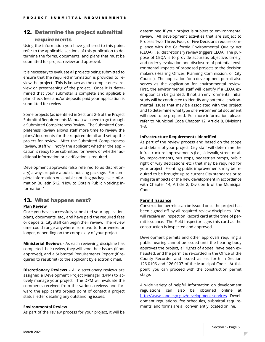# <span id="page-7-0"></span>12. Determine the project submittal

## requirements

Using the information you have gathered to this point, refer to the applicable sections of this publication to determine the forms, documents, and plans that must be submitted for project review and approval.

It is necessary to evaluate all projects being submitted to ensure that the required information is provided to review the project. This is known as the completeness review or prescreening of the project. Once it is determined that your submittal is complete and applicable plan check fees and/or deposits paid your application is submitted for review.

Some projects (as identified in Sections 2-6 of the Project Submittal Requirements Manual) will need to go through a Submitted Completeness Review. The Submitted Completeness Review allows staff more time to review the plans/documents for the required detail and set up the project for review. After the Submitted Completeness Review, staff will notify the applicant whether the application is ready to be submitted for review or whether additional information or clarification is required.

Development approvals (also referred to as discretionary) always require a public noticing package. For complete information on a public noticing package see Information Bulletin 512, "How to Obtain Public Noticing Information."

## <span id="page-7-1"></span>13. What happens next? **Plan Review**

Once you have successfully submitted your application, plans, documents, etc., and have paid the required fees or deposits, City staff can begin their review. The review time could range anywhere from two to four weeks or longer, depending on the complexity of your project.

**Ministerial Reviews -** As each reviewing discipline has completed their review, they will send their issues (if not approved), and a Submittal Requirements Report (if required to resubmit) to the applicant by electronic mail.

**Discretionary Reviews –** All discretionary reviews are assigned a Development Project Manager (DPM) to actively manage your project. The DPM will evaluate the comments received from the various reviews and forward the applicant's project point of contact a project status letter detailing any outstanding issues.

#### **Environmental Review**

As part of the review process for your project, it will be

determined if your project is subject to environmental review. All development activities that are subject to Process Two, Three, Four, or Five Decisions require compliance with the California Environmental Quality Act (CEQA); i.e., discretionary review triggers CEQA. The purpose of CEQA is to provide accurate, objective, timely, and orderly evaluation and disclosure of potential environmental impacts of proposed projects to the decision makers (Hearing Officer, Planning Commission, or City Council). The application for a development permit also serves as the application for environmental review. First, the environmental staff will identify if a CEQA exemption can be granted. If not, an environmental initial study will be conducted to identify any potential environmental issues that may be associated with the project and to determine what type of environmental document will need to be prepared. For more information, please refer to Municipal Code Chapter 12, Article 8, Divisions 1-3.

#### **Infrastructure Requirements Identified**

As part of the review process and based on the scope and details of your project, City staff will determine the infrastructure improvements (i.e., sidewalk, street or alley improvements, bus stops, pedestrian ramps, public right of way dedications etc.) that may be required for your project. Fronting public improvements may be required to be brought up to current City standards or to mitigate impacts of the new development in accordance with Chapter 14, Article 2, Division 6 of the Municipal Code.

### **Permit Issuance**

Construction permits can be issued once the project has been signed off by all required review disciplines. You will receive an Inspection Record card at the time of permit issuance. The Field Inspector signs this card as the construction is inspected and approved.

Development permits and other approvals requiring a public hearing cannot be issued until the hearing body approves the project, all rights of appeal have been exhausted, and the permit is re-corded in the Office of the County Recorder and issued as set forth in Section 126.0106 and 126.0107 of the Municipal Code. At this point, you can proceed with the construction permit stage.

A wide variety of helpful information on development regulations can also be obtained online at [http://www.sandiego.gov/development-services.](http://www.sandiego.gov/development-services) Development regulations, fee schedules, submittal requirements, and forms are all conveniently located online.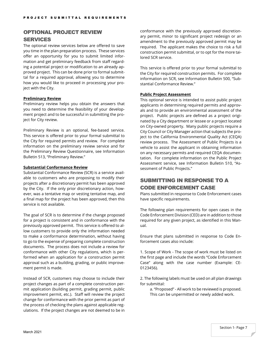## <span id="page-8-0"></span>OPTIONAL PROJECT REVIEW

#### SERVICES

The optional review services below are offered to save you time in the plan preparation process. These services offer an opportunity for you to submit limited information and get preliminary feedback from staff regarding a potential project or modification to an already approved project. This can be done prior to formal submittal for a required approval, allowing you to determine how you would like to proceed in processing your project with the City.

#### **Preliminary Review**

Preliminary review helps you obtain the answers that you need to determine the feasibility of your development project and to be successful in submitting the project for City review.

Preliminary Review is an optional, fee-based service. This service is offered prior to your formal submittal to the City for required permits and review. For complete information on the preliminary review service and for the Preliminary Review Questionnaire, see Information Bulletin 513, "Preliminary Review."

#### **Substantial Conformance Review**

Substantial Conformance Review (SCR) is a service available to customers who are proposing to modify their projects after a discretionary permit has been approved by the City. If the only prior discretionary action, however, was a tentative map or vesting tentative map, and a final map for the project has been approved, then this service is not available.

The goal of SCR is to determine if the change proposed for a project is consistent and in conformance with the previously approved permit. This service is offered to allow customers to provide only the information needed to make a conformance determination, without having to go to the expense of preparing complete construction documents. The process does not include a review for conformance with other City regulations, which is performed when an application for a construction permit approval such as a building, grading, or public improvement permit is made.

Instead of SCR, customers may choose to include their project changes as part of a complete construction permit application (building permit, grading permit, public improvement permit, etc.). Staff will review the project change for conformance with the prior permit as part of the process of checking the plans against applicable regulations. If the project changes are not deemed to be in conformance with the previously approved discretionary permit, minor to significant project redesign or an amendment to the previously approved permit may be required. The applicant makes the choice to risk a full construction permit submittal, or to opt for the more tailored SCR service.

This service is offered prior to your formal submittal to the City for required construction permits. For complete information on SCR, see Information Bulletin 500, "Substantial Conformance Review."

#### **Public Project Assessment**

This optional service is intended to assist public project applicants in determining required permits and approvals and to provide an environmental assessment of the project. Public projects are defined as a project originated by a City department or lessee or a project located on City-owned property. Many public projects require a City Council or City Manager action that subjects the project to the California Environmental Quality Act (CEQA) review process. The Assessment of Public Projects is a vehicle to assist the applicant in obtaining information on any necessary permits and required CEQA documentation. For complete information on the Public Project Assessment service, see Information Bulletin 510, "Assessment of Public Projects."

# SUBMITTING IN RESPONSE TO A CODE ENFORCEMENT CASE

Plans submitted in response to Code Enforcement cases have specific requirements.

The following plan requirements for open cases in the Code Enforcement Division (CED) are in addition to those required for any given project, as identified in this Manual.

Ensure that plans submitted in response to Code Enforcement cases also include:

1. Scope of Work - The scope of work must be listed on the first page and include the words "Code Enforcement Case" along with the case number (Example: CE-0123456).

2. The following labels must be used on all plan drawings for submittal:

a. "Proposed" - All work to be reviewed is proposed. This can be unpermitted or newly added work.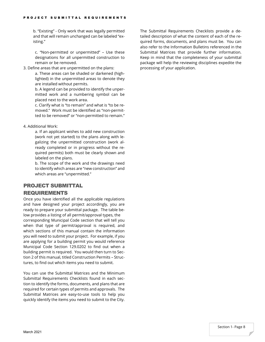b. "Existing" - Only work that was legally permitted and that will remain unchanged can be labeled "existing."

c. "Non-permitted or unpermitted" – Use these designations for all unpermitted construction to remain or be removed.

3. Define areas that are unpermitted on the plans:

a. These areas can be shaded or darkened (highlighted) in the unpermitted areas to denote they are installed without permits.

b. A legend can be provided to identify the unpermitted work and a numbering symbol can be placed next to the work area.

c. Clarify what is "to remain" and what is "to be removed." Work must be identified as "non-permitted to be removed" or "non-permitted to remain."

#### 4. Additional Work:

a. If an applicant wishes to add new construction (work not yet started) to the plans along with legalizing the unpermitted construction (work already completed or in progress without the required permits) both must be clearly shown and labeled on the plans.

b. The scope of the work and the drawings need to identify which areas are "new construction" and which areas are "unpermitted."

## <span id="page-9-0"></span>PROJECT SUBMITTAL

### REQUIREMENTS

Once you have identified all the applicable regulations and have designed your project accordingly, you are ready to prepare your submittal package. The table below provides a listing of all permit/approval types, the corresponding Municipal Code section that will tell you when that type of permit/approval is required, and which sections of this manual contain the information you will need to submit your project. For example, if you are applying for a building permit you would reference Municipal Code Section 129.0202 to find out when a building permit is required. You would then turn to Section 2 of this manual, titled Construction Permits – Structures, to find out which items you need to submit.

You can use the Submittal Matrices and the Minimum Submittal Requirements Checklists found in each section to identify the forms, documents, and plans that are required for certain types of permits and approvals. The Submittal Matrices are easy-to-use tools to help you quickly identify the items you need to submit to the City.

The Submittal Requirements Checklists provide a detailed description of what the content of each of the required forms, documents, and plans must be. You can also refer to the Information Bulletins referenced in the Submittal Matrices that provide further information. Keep in mind that the completeness of your submittal package will help the reviewing disciplines expedite the processing of your application.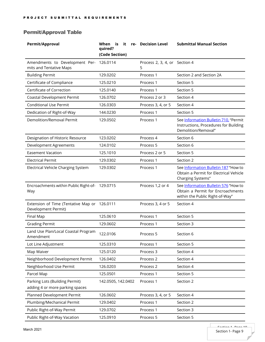# <span id="page-10-0"></span>Permit/Approval Table

| Permit/Approval                                                     | it<br>When<br>is i<br>re-<br>quired?<br>(Code Section) | <b>Decision Level</b>              | <b>Submittal Manual Section</b>                                                                              |
|---------------------------------------------------------------------|--------------------------------------------------------|------------------------------------|--------------------------------------------------------------------------------------------------------------|
| Amendments to Development Per-<br>mits and Tentative Maps           | 126.0114                                               | Process 2, 3, 4, or Section 4<br>5 |                                                                                                              |
| <b>Building Permit</b>                                              | 129.0202                                               | Process 1                          | Section 2 and Section 2A                                                                                     |
| Certificate of Compliance                                           | 125.0210                                               | Process 1                          | Section 5                                                                                                    |
| Certificate of Correction                                           | 125.0140                                               | Process 1                          | Section 5                                                                                                    |
| Coastal Development Permit                                          | 126.0702                                               | Process 2 or 3                     | Section 4                                                                                                    |
| <b>Conditional Use Permit</b>                                       | 126.0303                                               | Process 3, 4, or 5                 | Section 4                                                                                                    |
| Dedication of Right-of-Way                                          | 144.0230                                               | Process 1                          | Section 5                                                                                                    |
| Demolition/Removal Permit                                           | 129.0502                                               | Process 1                          | See Information Bulletin 710, "Permit<br>Instructions, Procedures for Building<br>Demolition/Removal"        |
| Designation of Historic Resource                                    | 123.0202                                               | Process 4                          | Section 6                                                                                                    |
| <b>Development Agreements</b>                                       | 124.0102                                               | Process 5                          | Section 6                                                                                                    |
| <b>Easement Vacation</b>                                            | 125.1010                                               | Process 2 or 5                     | Section 5                                                                                                    |
| <b>Electrical Permit</b>                                            | 129.0302                                               | Process 1                          | Section 2                                                                                                    |
| Electrical Vehicle Charging System                                  | 129.0302                                               | Process 1                          | See Information Bulletin 187 "How to<br>Obtain a Permit for Electrical Vehicle<br>Charging Systems"          |
| Encroachments within Public Right-of- 129.0715<br>Way               |                                                        | Process 1,2 or 4                   | See Information Bulletin 576 "How to<br>Obtain a Permit for Encroachments<br>within the Public Right-of-Way" |
| Extension of Time (Tentative Map or 126.0111<br>Development Permit) |                                                        | Process 3, 4 or 5                  | Section 4                                                                                                    |
| Final Map                                                           | 125.0610                                               | Process 1                          | Section 5                                                                                                    |
| <b>Grading Permit</b>                                               | 129.0602                                               | Process 1                          | Section 3                                                                                                    |
| Land Use Plan/Local Coastal Program<br>Amendment                    | 122.0106                                               | Process 5                          | Section 6                                                                                                    |
| Lot Line Adjustment                                                 | 125.0310                                               | Process 1                          | Section 5                                                                                                    |
| Map Waiver                                                          | 125.0120                                               | Process 3                          | Section 4                                                                                                    |
| Neighborhood Development Permit                                     | 126.0402                                               | Process 2                          | Section 4                                                                                                    |
| Neighborhood Use Permit                                             | 126.0203                                               | Process 2                          | Section 4                                                                                                    |
| Parcel Map                                                          | 125.0501                                               | Process 1                          | Section 5                                                                                                    |
| Parking Lots (Building Permit)<br>adding 4 or more parking spaces   | 142.0505, 142.0402                                     | Process 1                          | Section 2                                                                                                    |
| Planned Development Permit                                          | 126.0602                                               | Process 3, 4, or 5                 | Section 4                                                                                                    |
| Plumbing/Mechanical Permit                                          | 129.0402                                               | Process 1                          | Section 2                                                                                                    |
| Public Right-of-Way Permit                                          | 129.0702                                               | Process 1                          | Section 3                                                                                                    |
| Public Right-of-Way Vacation                                        | 125.0910                                               | Process 5                          | Section 5                                                                                                    |

П